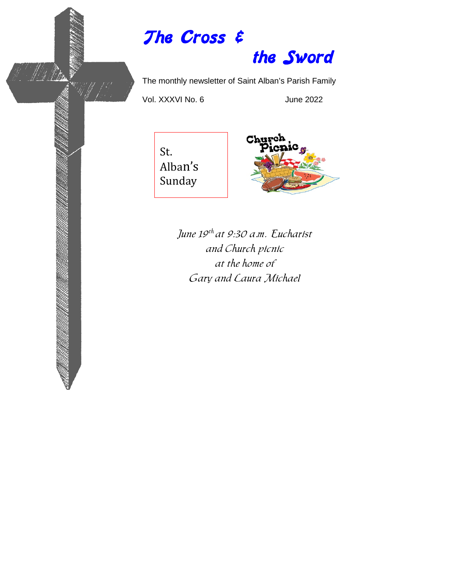# The Cross & the Sword

The monthly newsletter of Saint Alban's Parish Family

Vol. XXXVI No. 6 June 2022

Wh Pitter





June 19<sup>th</sup> at 9:30 a.m. Eucharist and Church picnic at the home of Gary and Laura Michael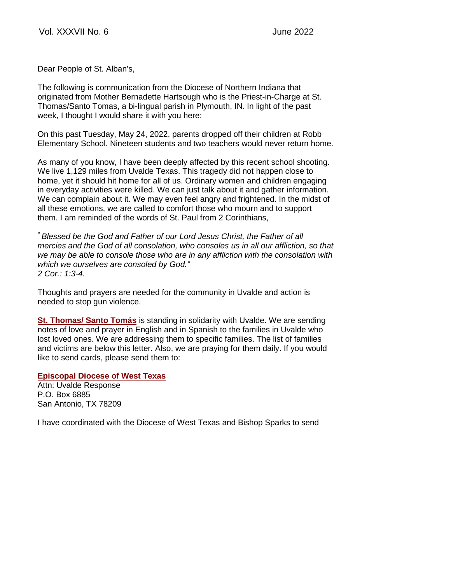Dear People of St. Alban's,

The following is communication from the Diocese of Northern Indiana that originated from Mother Bernadette Hartsough who is the Priest-in-Charge at St. Thomas/Santo Tomas, a bi-lingual parish in Plymouth, IN. In light of the past week, I thought I would share it with you here:

On this past Tuesday, May 24, 2022, parents dropped off their children at Robb Elementary School. Nineteen students and two teachers would never return home.

As many of you know, I have been deeply affected by this recent school shooting. We live 1,129 miles from Uvalde Texas. This tragedy did not happen close to home, yet it should hit home for all of us. Ordinary women and children engaging in everyday activities were killed. We can just talk about it and gather information. We can complain about it. We may even feel angry and frightened. In the midst of all these emotions, we are called to comfort those who mourn and to support them. I am reminded of the words of St. Paul from 2 Corinthians,

*" Blessed be the God and Father of our Lord Jesus Christ, the Father of all mercies and the God of all consolation, who consoles us in all our affliction, so that we may be able to console those who are in any affliction with the consolation with which we ourselves are consoled by God." 2 Cor.: 1:3-4.*

Thoughts and prayers are needed for the community in Uvalde and action is needed to stop gun violence.

**[St. Thomas/ Santo Tomás](https://r20.rs6.net/tn.jsp?f=001sQWB8a6_8N_nt3zEmwQTOR4SGUshSPePQ9NLgzjvASxbsdHkwpN4clmwnBchPL7bWdTV5POJoK17GN7Z5QPQmxOccC5J6Is4vJ4_URQFUBdEqu6uiKW5Vmcb3OGKtTMEzUBOIUAb02Zc8dtWeluFUA==&c=ZLiecnbL3_Mv52w1BN_ne5JC_FeVH7-m8f2cpR4Hyj-EYXMd2mkhqw==&ch=CYSQPBJi66o1BzVLdS14Dl2f1XgaSyoZC8pB5hXOQPs0zw8lOdmBTw==)** is standing in solidarity with Uvalde. We are sending notes of love and prayer in English and in Spanish to the families in Uvalde who lost loved ones. We are addressing them to specific families. The list of families and victims are below this letter. Also, we are praying for them daily. If you would like to send cards, please send them to:

### **[Episcopal Diocese of West Texas](https://r20.rs6.net/tn.jsp?f=001sQWB8a6_8N_nt3zEmwQTOR4SGUshSPePQ9NLgzjvASxbsdHkwpN4colRxK_8EvtDoHnD8YuM7CHGxygKVE25qgOw6Pn2E5gmM4Z2fjc4n8j9vFbPEOSE-Mz04CQB_NwDIh7HtwpszTw=&c=ZLiecnbL3_Mv52w1BN_ne5JC_FeVH7-m8f2cpR4Hyj-EYXMd2mkhqw==&ch=CYSQPBJi66o1BzVLdS14Dl2f1XgaSyoZC8pB5hXOQPs0zw8lOdmBTw==)**

Attn: Uvalde Response P.O. Box 6885 San Antonio, TX 78209

I have coordinated with the Diocese of West Texas and Bishop Sparks to send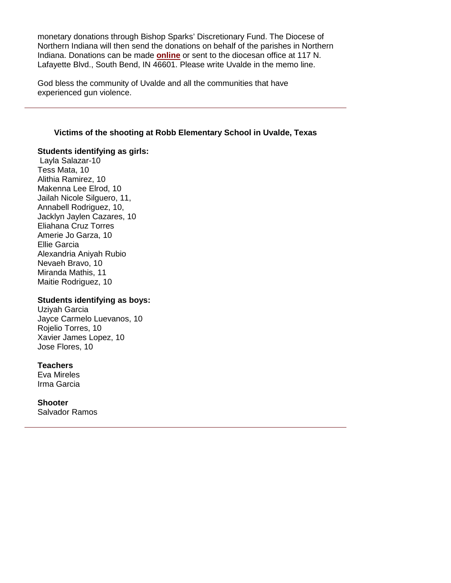monetary donations through Bishop Sparks' Discretionary Fund. The Diocese of Northern Indiana will then send the donations on behalf of the parishes in Northern Indiana. Donations can be made **[online](https://r20.rs6.net/tn.jsp?f=001sQWB8a6_8N_nt3zEmwQTOR4SGUshSPePQ9NLgzjvASxbsdHkwpN4colRxK_8EvtD13tjOBTa6pejud9HPdfTLhyUWKTQKlP_M38vUbwKYb7jwgijMBB1Iyg4HinV6-_9Q8vYsopTYRBCyBjayKT5G6Xv9D6B4PIhNyYpmIWNII2h4P-V49XVYfljWlOlx7VaUNXS9yTyBUE=&c=ZLiecnbL3_Mv52w1BN_ne5JC_FeVH7-m8f2cpR4Hyj-EYXMd2mkhqw==&ch=CYSQPBJi66o1BzVLdS14Dl2f1XgaSyoZC8pB5hXOQPs0zw8lOdmBTw==)** or sent to the diocesan office at 117 N. Lafayette Blvd., South Bend, IN 46601. Please write Uvalde in the memo line.

God bless the community of Uvalde and all the communities that have experienced gun violence.

#### **Victims of the shooting at Robb Elementary School in Uvalde, Texas**

#### **Students identifying as girls:**

Layla Salazar-10 Tess Mata, 10 Alithia Ramirez, 10 Makenna Lee Elrod, 10 Jailah Nicole Silguero, 11, Annabell Rodriguez, 10, Jacklyn Jaylen Cazares, 10 Eliahana Cruz Torres Amerie Jo Garza, 10 Ellie Garcia Alexandria Aniyah Rubio Nevaeh Bravo, 10 Miranda Mathis, 11 Maitie Rodriguez, 10

#### **Students identifying as boys:**

Uziyah Garcia Jayce Carmelo Luevanos, 10 Rojelio Torres, 10 Xavier James Lopez, 10 Jose Flores, 10

#### **Teachers**

Eva Mireles Irma Garcia

**Shooter**

Salvador Ramos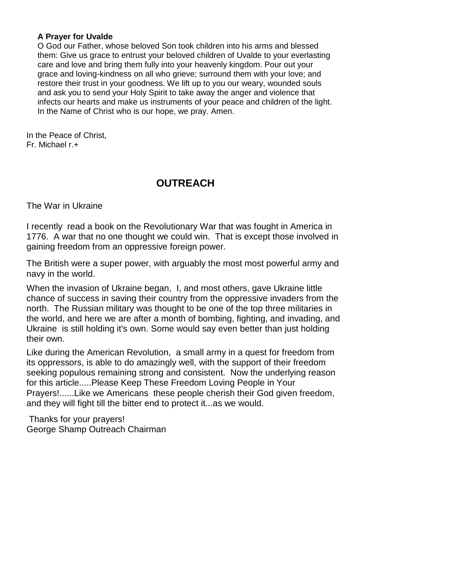### **A Prayer for Uvalde**

O God our Father, whose beloved Son took children into his arms and blessed them: Give us grace to entrust your beloved children of Uvalde to your everlasting care and love and bring them fully into your heavenly kingdom. Pour out your grace and loving-kindness on all who grieve; surround them with your love; and restore their trust in your goodness. We lift up to you our weary, wounded souls and ask you to send your Holy Spirit to take away the anger and violence that infects our hearts and make us instruments of your peace and children of the light. In the Name of Christ who is our hope, we pray. Amen.

In the Peace of Christ, Fr. Michael r.+

# **OUTREACH**

The War in Ukraine

I recently read a book on the Revolutionary War that was fought in America in 1776. A war that no one thought we could win. That is except those involved in gaining freedom from an oppressive foreign power.

The British were a super power, with arguably the most most powerful army and navy in the world.

When the invasion of Ukraine began, I, and most others, gave Ukraine little chance of success in saving their country from the oppressive invaders from the north. The Russian military was thought to be one of the top three militaries in the world, and here we are after a month of bombing, fighting, and invading, and Ukraine is still holding it's own. Some would say even better than just holding their own.

Like during the American Revolution, a small army in a quest for freedom from its oppressors, is able to do amazingly well, with the support of their freedom seeking populous remaining strong and consistent. Now the underlying reason for this article.....Please Keep These Freedom Loving People in Your Prayers!......Like we Americans these people cherish their God given freedom, and they will fight till the bitter end to protect it...as we would.

Thanks for your prayers! George Shamp Outreach Chairman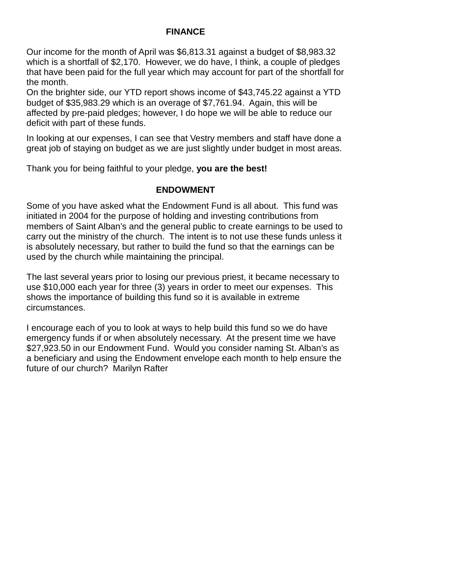## **FINANCE**

Our income for the month of April was \$6,813.31 against a budget of \$8,983.32 which is a shortfall of \$2,170. However, we do have, I think, a couple of pledges that have been paid for the full year which may account for part of the shortfall for the month.

On the brighter side, our YTD report shows income of \$43,745.22 against a YTD budget of \$35,983.29 which is an overage of \$7,761.94. Again, this will be affected by pre-paid pledges; however, I do hope we will be able to reduce our deficit with part of these funds.

In looking at our expenses, I can see that Vestry members and staff have done a great job of staying on budget as we are just slightly under budget in most areas.

Thank you for being faithful to your pledge, **you are the best!**

### **ENDOWMENT**

Some of you have asked what the Endowment Fund is all about. This fund was initiated in 2004 for the purpose of holding and investing contributions from members of Saint Alban's and the general public to create earnings to be used to carry out the ministry of the church. The intent is to not use these funds unless it is absolutely necessary, but rather to build the fund so that the earnings can be used by the church while maintaining the principal.

The last several years prior to losing our previous priest, it became necessary to use \$10,000 each year for three (3) years in order to meet our expenses. This shows the importance of building this fund so it is available in extreme circumstances.

I encourage each of you to look at ways to help build this fund so we do have emergency funds if or when absolutely necessary. At the present time we have \$27,923.50 in our Endowment Fund. Would you consider naming St. Alban's as a beneficiary and using the Endowment envelope each month to help ensure the future of our church? Marilyn Rafter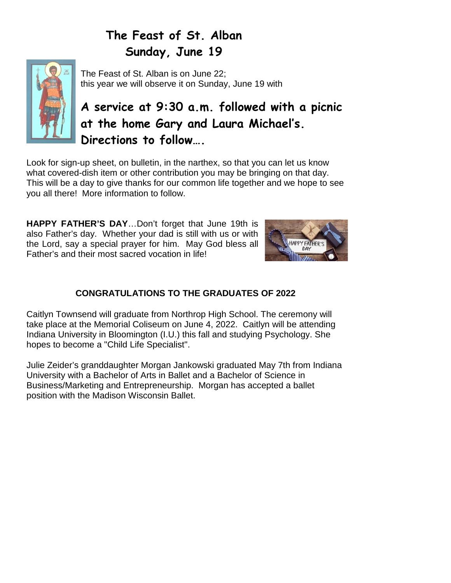# **The Feast of St. Alban Sunday, June 19**



The Feast of St. Alban is on June 22; this year we will observe it on Sunday, June 19 with

# **A service at 9:30 a.m. followed with a picnic at the home Gary and Laura Michael's. Directions to follow….**

Look for sign-up sheet, on bulletin, in the narthex, so that you can let us know what covered-dish item or other contribution you may be bringing on that day. This will be a day to give thanks for our common life together and we hope to see you all there! More information to follow.

**HAPPY FATHER'S DAY**…Don't forget that June 19th is also Father's day. Whether your dad is still with us or with the Lord, say a special prayer for him. May God bless all Father's and their most sacred vocation in life!



# **CONGRATULATIONS TO THE GRADUATES OF 2022**

Caitlyn Townsend will graduate from Northrop High School. The ceremony will take place at the Memorial Coliseum on June 4, 2022. Caitlyn will be attending Indiana University in Bloomington (I.U.) this fall and studying Psychology. She hopes to become a "Child Life Specialist".

Julie Zeider's granddaughter Morgan Jankowski graduated May 7th from Indiana University with a Bachelor of Arts in Ballet and a Bachelor of Science in Business/Marketing and Entrepreneurship. Morgan has accepted a ballet position with the Madison Wisconsin Ballet.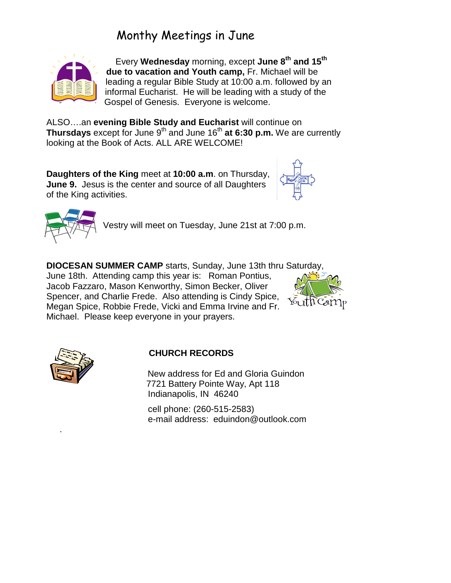# Monthy Meetings in June



 Every **Wednesday** morning, except **June 8th and 15th due to vacation and Youth camp,** Fr. Michael will be leading a regular Bible Study at 10:00 a.m. followed by an informal Eucharist. He will be leading with a study of the Gospel of Genesis. Everyone is welcome.

ALSO….an **evening Bible Study and Eucharist** will continue on **Thursdays** except for June 9<sup>th</sup> and June 16<sup>th</sup> at 6:30 p.m. We are currently looking at the Book of Acts. ALL ARE WELCOME!

**Daughters of the King** meet at **10:00 a.m**. on Thursday, **June 9.** Jesus is the center and source of all Daughters of the King activities.





Vestry will meet on Tuesday, June 21st at 7:00 p.m.

**DIOCESAN SUMMER CAMP** starts, Sunday, June 13th thru Saturday, June 18th.Attending camp this year is: Roman Pontius, Jacob Fazzaro, Mason Kenworthy, Simon Becker, Oliver Spencer, and Charlie Frede. Also attending is Cindy Spice,

Megan Spice, Robbie Frede, Vicki and Emma Irvine and Fr.

Michael. Please keep everyone in your prayers.





.

## **CHURCH RECORDS**

 New address for Ed and Gloria Guindon 7721 Battery Pointe Way, Apt 118 Indianapolis, IN 46240

 cell phone: (260-515-2583) e-mail address: eduindon@outlook.com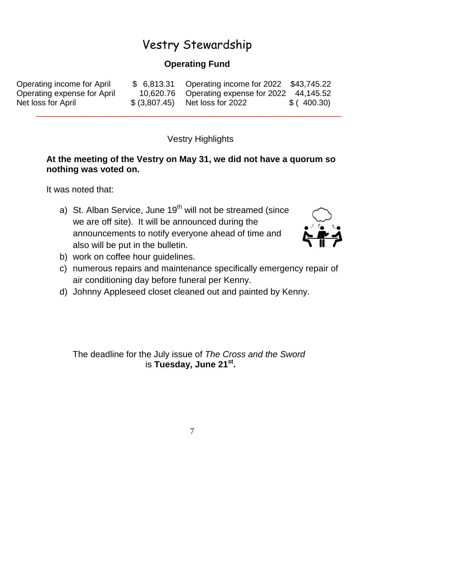# Vestry Stewardship

## **Operating Fund**

| Operating income for April  | \$ 6,813.31 Operating income for 2022 \$43,745.22 |            |
|-----------------------------|---------------------------------------------------|------------|
| Operating expense for April | 10,620.76 Operating expense for 2022 44,145.52    |            |
| Net loss for April          | \$ (3,807.45) Net loss for 2022                   | \$(400.30) |

Vestry Highlights

### **At the meeting of the Vestry on May 31, we did not have a quorum so nothing was voted on.**

\_\_\_\_\_\_\_\_\_\_\_\_\_\_\_\_\_\_\_\_\_\_\_\_\_\_\_\_\_\_\_\_\_\_\_\_\_\_\_\_\_\_\_\_\_\_\_\_\_\_\_\_\_\_\_\_\_\_\_\_\_\_

It was noted that:

a) St. Alban Service, June  $19<sup>th</sup>$  will not be streamed (since we are off site). It will be announced during the announcements to notify everyone ahead of time and also will be put in the bulletin.



- b) work on coffee hour guidelines.
- c) numerous repairs and maintenance specifically emergency repair of air conditioning day before funeral per Kenny.
- d) Johnny Appleseed closet cleaned out and painted by Kenny.

The deadline for the July issue of *The Cross and the Sword* is **Tuesday, June 21st.** 

7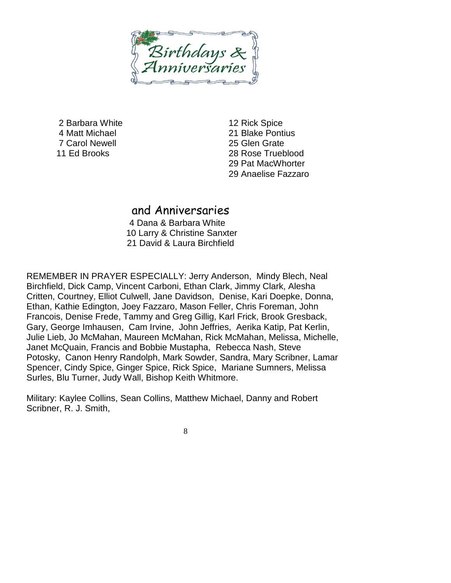Birthdays

2 Barbara White 4 Matt Michael 7 Carol Newell 11 Ed Brooks

12 Rick Spice 21 Blake Pontius 25 Glen Grate 28 Rose Trueblood 29 Pat MacWhorter 29 Anaelise Fazzaro

## and Anniversaries

 4 Dana & Barbara White 10 Larry & Christine Sanxter 21 David & Laura Birchfield

REMEMBER IN PRAYER ESPECIALLY: Jerry Anderson, Mindy Blech, Neal Birchfield, Dick Camp, Vincent Carboni, Ethan Clark, Jimmy Clark, Alesha Critten, Courtney, Elliot Culwell, Jane Davidson, Denise, Kari Doepke, Donna, Ethan, Kathie Edington, Joey Fazzaro, Mason Feller, Chris Foreman, John Francois, Denise Frede, Tammy and Greg Gillig, Karl Frick, Brook Gresback, Gary, George Imhausen, Cam Irvine, John Jeffries, Aerika Katip, Pat Kerlin, Julie Lieb, Jo McMahan, Maureen McMahan, Rick McMahan, Melissa, Michelle, Janet McQuain, Francis and Bobbie Mustapha, Rebecca Nash, Steve Potosky, Canon Henry Randolph, Mark Sowder, Sandra, Mary Scribner, Lamar Spencer, Cindy Spice, Ginger Spice, Rick Spice, Mariane Sumners, Melissa Surles, Blu Turner, Judy Wall, Bishop Keith Whitmore.

Military: Kaylee Collins, Sean Collins, Matthew Michael, Danny and Robert Scribner, R. J. Smith,

8